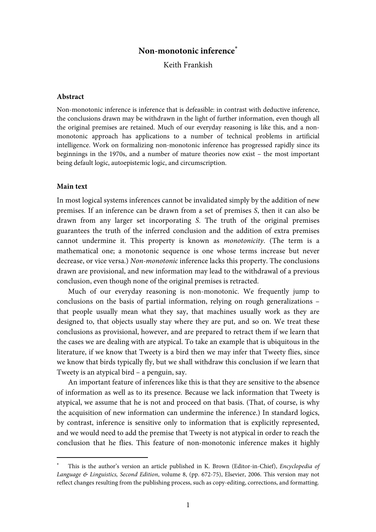## **Non-monotonic inference**<sup>∗</sup>

#### Keith Frankish

## **Abstract**

Non-monotonic inference is inference that is defeasible: in contrast with deductive inference, the conclusions drawn may be withdrawn in the light of further information, even though all the original premises are retained. Much of our everyday reasoning is like this, and a nonmonotonic approach has applications to a number of technical problems in artificial intelligence. Work on formalizing non-monotonic inference has progressed rapidly since its beginnings in the 1970s, and a number of mature theories now exist – the most important being default logic, autoepistemic logic, and circumscription.

#### **Main text**

-

In most logical systems inferences cannot be invalidated simply by the addition of new premises. If an inference can be drawn from a set of premises S, then it can also be drawn from any larger set incorporating S. The truth of the original premises guarantees the truth of the inferred conclusion and the addition of extra premises cannot undermine it. This property is known as monotonicity. (The term is a mathematical one; a monotonic sequence is one whose terms increase but never decrease, or vice versa.) Non-monotonic inference lacks this property. The conclusions drawn are provisional, and new information may lead to the withdrawal of a previous conclusion, even though none of the original premises is retracted.

Much of our everyday reasoning is non-monotonic. We frequently jump to conclusions on the basis of partial information, relying on rough generalizations – that people usually mean what they say, that machines usually work as they are designed to, that objects usually stay where they are put, and so on. We treat these conclusions as provisional, however, and are prepared to retract them if we learn that the cases we are dealing with are atypical. To take an example that is ubiquitous in the literature, if we know that Tweety is a bird then we may infer that Tweety flies, since we know that birds typically fly, but we shall withdraw this conclusion if we learn that Tweety is an atypical bird – a penguin, say.

An important feature of inferences like this is that they are sensitive to the absence of information as well as to its presence. Because we lack information that Tweety is atypical, we assume that he is not and proceed on that basis. (That, of course, is why the acquisition of new information can undermine the inference.) In standard logics, by contrast, inference is sensitive only to information that is explicitly represented, and we would need to add the premise that Tweety is not atypical in order to reach the conclusion that he flies. This feature of non-monotonic inference makes it highly

<sup>∗</sup> This is the author's version an article published in K. Brown (Editor-in-Chief), Encyclopedia of Language & Linguistics, Second Edition, volume 8, (pp. 672-75), Elsevier, 2006. This version may not reflect changes resulting from the publishing process, such as copy-editing, corrections, and formatting.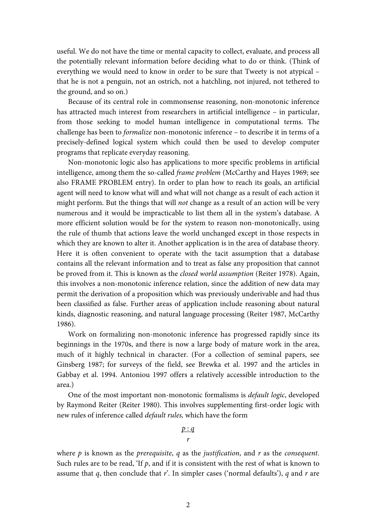useful. We do not have the time or mental capacity to collect, evaluate, and process all the potentially relevant information before deciding what to do or think. (Think of everything we would need to know in order to be sure that Tweety is not atypical – that he is not a penguin, not an ostrich, not a hatchling, not injured, not tethered to the ground, and so on.)

Because of its central role in commonsense reasoning, non-monotonic inference has attracted much interest from researchers in artificial intelligence – in particular, from those seeking to model human intelligence in computational terms. The challenge has been to formalize non-monotonic inference – to describe it in terms of a precisely-defined logical system which could then be used to develop computer programs that replicate everyday reasoning.

Non-monotonic logic also has applications to more specific problems in artificial intelligence, among them the so-called frame problem (McCarthy and Hayes 1969; see also FRAME PROBLEM entry). In order to plan how to reach its goals, an artificial agent will need to know what will and what will not change as a result of each action it might perform. But the things that will not change as a result of an action will be very numerous and it would be impracticable to list them all in the system's database. A more efficient solution would be for the system to reason non-monotonically, using the rule of thumb that actions leave the world unchanged except in those respects in which they are known to alter it. Another application is in the area of database theory. Here it is often convenient to operate with the tacit assumption that a database contains all the relevant information and to treat as false any proposition that cannot be proved from it. This is known as the closed world assumption (Reiter 1978). Again, this involves a non-monotonic inference relation, since the addition of new data may permit the derivation of a proposition which was previously underivable and had thus been classified as false. Further areas of application include reasoning about natural kinds, diagnostic reasoning, and natural language processing (Reiter 1987, McCarthy 1986).

Work on formalizing non-monotonic inference has progressed rapidly since its beginnings in the 1970s, and there is now a large body of mature work in the area, much of it highly technical in character. (For a collection of seminal papers, see Ginsberg 1987; for surveys of the field, see Brewka et al. 1997 and the articles in Gabbay et al. 1994. Antoniou 1997 offers a relatively accessible introduction to the area.)

One of the most important non-monotonic formalisms is default logic, developed by Raymond Reiter (Reiter 1980). This involves supplementing first-order logic with new rules of inference called default rules, which have the form

> $p:q$ r

where  $p$  is known as the *prerequisite*,  $q$  as the *justification*, and  $r$  as the *consequent*. Such rules are to be read, 'If  $p$ , and if it is consistent with the rest of what is known to assume that q, then conclude that  $\vec{r}$ . In simpler cases ('normal defaults'), q and  $\vec{r}$  are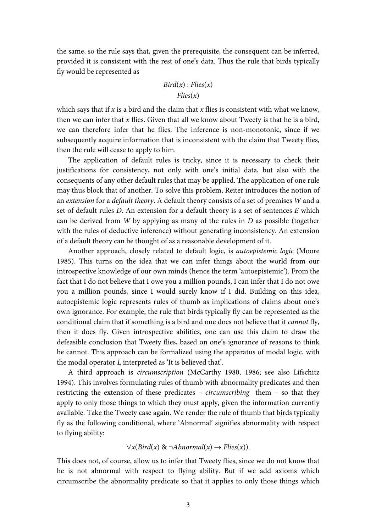the same, so the rule says that, given the prerequisite, the consequent can be inferred, provided it is consistent with the rest of one's data. Thus the rule that birds typically fly would be represented as

# $Bird(x)$ : Flies $(x)$  $Flies(x)$

which says that if x is a bird and the claim that x flies is consistent with what we know, then we can infer that  $x$  flies. Given that all we know about Tweety is that he is a bird, we can therefore infer that he flies. The inference is non-monotonic, since if we subsequently acquire information that is inconsistent with the claim that Tweety flies, then the rule will cease to apply to him.

The application of default rules is tricky, since it is necessary to check their justifications for consistency, not only with one's initial data, but also with the consequents of any other default rules that may be applied. The application of one rule may thus block that of another. To solve this problem, Reiter introduces the notion of an extension for a default theory. A default theory consists of a set of premises W and a set of default rules D. An extension for a default theory is a set of sentences E which can be derived from  $W$  by applying as many of the rules in  $D$  as possible (together with the rules of deductive inference) without generating inconsistency. An extension of a default theory can be thought of as a reasonable development of it.

Another approach, closely related to default logic, is autoepistemic logic (Moore 1985). This turns on the idea that we can infer things about the world from our introspective knowledge of our own minds (hence the term 'autoepistemic'). From the fact that I do not believe that I owe you a million pounds, I can infer that I do not owe you a million pounds, since I would surely know if I did. Building on this idea, autoepistemic logic represents rules of thumb as implications of claims about one's own ignorance. For example, the rule that birds typically fly can be represented as the conditional claim that if something is a bird and one does not believe that it cannot fly, then it does fly. Given introspective abilities, one can use this claim to draw the defeasible conclusion that Tweety flies, based on one's ignorance of reasons to think he cannot. This approach can be formalized using the apparatus of modal logic, with the modal operator L interpreted as 'It is believed that'.

A third approach is circumscription (McCarthy 1980, 1986; see also Lifschitz 1994). This involves formulating rules of thumb with abnormality predicates and then restricting the extension of these predicates – circumscribing them – so that they apply to only those things to which they must apply, given the information currently available. Take the Tweety case again. We render the rule of thumb that birds typically fly as the following conditional, where 'Abnormal' signifies abnormality with respect to flying ability:

#### $\forall x (Bird(x) \& \neg Abnormal(x) \rightarrow Flies(x)).$

This does not, of course, allow us to infer that Tweety flies, since we do not know that he is not abnormal with respect to flying ability. But if we add axioms which circumscribe the abnormality predicate so that it applies to only those things which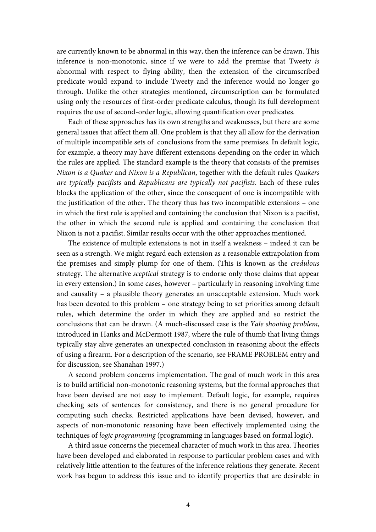are currently known to be abnormal in this way, then the inference can be drawn. This inference is non-monotonic, since if we were to add the premise that Tweety is abnormal with respect to flying ability, then the extension of the circumscribed predicate would expand to include Tweety and the inference would no longer go through. Unlike the other strategies mentioned, circumscription can be formulated using only the resources of first-order predicate calculus, though its full development requires the use of second-order logic, allowing quantification over predicates.

Each of these approaches has its own strengths and weaknesses, but there are some general issues that affect them all. One problem is that they all allow for the derivation of multiple incompatible sets of conclusions from the same premises. In default logic, for example, a theory may have different extensions depending on the order in which the rules are applied. The standard example is the theory that consists of the premises Nixon is a Quaker and Nixon is a Republican, together with the default rules Quakers are typically pacifists and Republicans are typically not pacifists. Each of these rules blocks the application of the other, since the consequent of one is incompatible with the justification of the other. The theory thus has two incompatible extensions – one in which the first rule is applied and containing the conclusion that Nixon is a pacifist, the other in which the second rule is applied and containing the conclusion that Nixon is not a pacifist. Similar results occur with the other approaches mentioned.

The existence of multiple extensions is not in itself a weakness – indeed it can be seen as a strength. We might regard each extension as a reasonable extrapolation from the premises and simply plump for one of them. (This is known as the credulous strategy. The alternative sceptical strategy is to endorse only those claims that appear in every extension.) In some cases, however – particularly in reasoning involving time and causality – a plausible theory generates an unacceptable extension. Much work has been devoted to this problem – one strategy being to set priorities among default rules, which determine the order in which they are applied and so restrict the conclusions that can be drawn. (A much-discussed case is the Yale shooting problem, introduced in Hanks and McDermott 1987, where the rule of thumb that living things typically stay alive generates an unexpected conclusion in reasoning about the effects of using a firearm. For a description of the scenario, see FRAME PROBLEM entry and for discussion, see Shanahan 1997.)

A second problem concerns implementation. The goal of much work in this area is to build artificial non-monotonic reasoning systems, but the formal approaches that have been devised are not easy to implement. Default logic, for example, requires checking sets of sentences for consistency, and there is no general procedure for computing such checks. Restricted applications have been devised, however, and aspects of non-monotonic reasoning have been effectively implemented using the techniques of logic programming (programming in languages based on formal logic).

A third issue concerns the piecemeal character of much work in this area. Theories have been developed and elaborated in response to particular problem cases and with relatively little attention to the features of the inference relations they generate. Recent work has begun to address this issue and to identify properties that are desirable in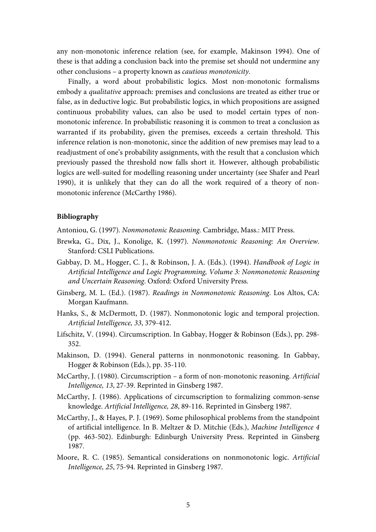any non-monotonic inference relation (see, for example, Makinson 1994). One of these is that adding a conclusion back into the premise set should not undermine any other conclusions – a property known as cautious monotonicity.

Finally, a word about probabilistic logics. Most non-monotonic formalisms embody a qualitative approach: premises and conclusions are treated as either true or false, as in deductive logic. But probabilistic logics, in which propositions are assigned continuous probability values, can also be used to model certain types of nonmonotonic inference. In probabilistic reasoning it is common to treat a conclusion as warranted if its probability, given the premises, exceeds a certain threshold. This inference relation is non-monotonic, since the addition of new premises may lead to a readjustment of one's probability assignments, with the result that a conclusion which previously passed the threshold now falls short it. However, although probabilistic logics are well-suited for modelling reasoning under uncertainty (see Shafer and Pearl 1990), it is unlikely that they can do all the work required of a theory of nonmonotonic inference (McCarthy 1986).

## **Bibliography**

Antoniou, G. (1997). Nonmonotonic Reasoning. Cambridge, Mass.: MIT Press.

- Brewka, G., Dix, J., Konolige, K. (1997). Nonmonotonic Reasoning: An Overview. Stanford: CSLI Publications.
- Gabbay, D. M., Hogger, C. J., & Robinson, J. A. (Eds.). (1994). Handbook of Logic in Artificial Intelligence and Logic Programming, Volume 3: Nonmonotonic Reasoning and Uncertain Reasoning. Oxford: Oxford University Press.
- Ginsberg, M. L. (Ed.). (1987). Readings in Nonmonotonic Reasoning. Los Altos, CA: Morgan Kaufmann.
- Hanks, S., & McDermott, D. (1987). Nonmonotonic logic and temporal projection. Artificial Intelligence, 33, 379-412.
- Lifschitz, V. (1994). Circumscription. In Gabbay, Hogger & Robinson (Eds.), pp. 298- 352.
- Makinson, D. (1994). General patterns in nonmonotonic reasoning. In Gabbay, Hogger & Robinson (Eds.), pp. 35-110.
- McCarthy, J. (1980). Circumscription a form of non-monotonic reasoning. Artificial Intelligence, 13, 27-39. Reprinted in Ginsberg 1987.
- McCarthy, J. (1986). Applications of circumscription to formalizing common-sense knowledge. Artificial Intelligence, 28, 89-116. Reprinted in Ginsberg 1987.
- McCarthy, J., & Hayes, P. J. (1969). Some philosophical problems from the standpoint of artificial intelligence. In B. Meltzer & D. Mitchie (Eds.), Machine Intelligence 4 (pp. 463-502). Edinburgh: Edinburgh University Press. Reprinted in Ginsberg 1987.
- Moore, R. C. (1985). Semantical considerations on nonmonotonic logic. Artificial Intelligence, 25, 75-94. Reprinted in Ginsberg 1987.